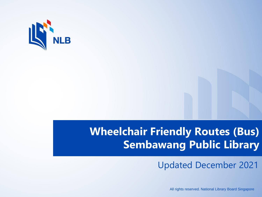

## **Wheelchair Friendly Routes (Bus) Sembawang Public Library**

Updated December 2021

All rights reserved. National Library Board Singapore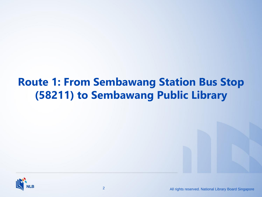## **Route 1: From Sembawang Station Bus Stop (58211) to Sembawang Public Library**

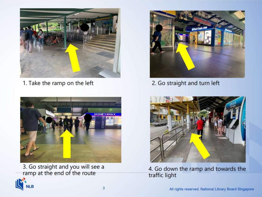

1. Take the ramp on the left



3. Go straight and you will see a ramp at the end of the route





2. Go straight and turn left



4. Go down the ramp and towards the traffic light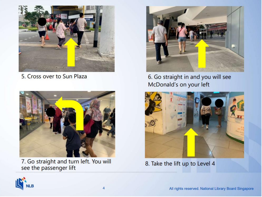

5. Cross over to Sun Plaza



7. Go straight and turn left. You will see the passenger lift



6. Go straight in and you will see McDonald's on your left



8. Take the lift up to Level 4

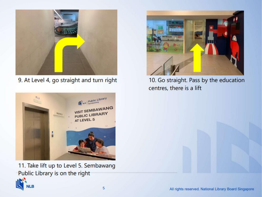

9. At Level 4, go straight and turn right



11. Take lift up to Level 5. Sembawang Public Library is on the right





10. Go straight. Pass by the education centres, there is a lift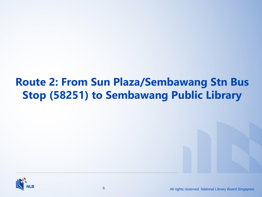## **Route 2: From Sun Plaza/Sembawang Stn Bus Stop (58251) to Sembawang Public Library**

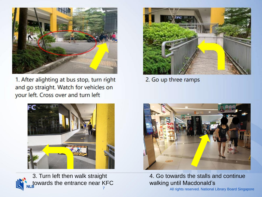

1. After alighting at bus stop, turn right and go straight. Watch for vehicles on your left. Cross over and turn left







2. Go up three ramps



4. Go towards the stalls and continue walking until Macdonald's

All rights reserved. National Library Board Singapore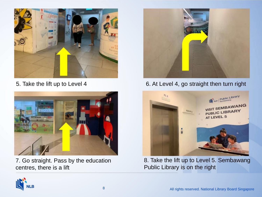



7. Go straight. Pass by the education centres, there is a lift



5. Take the lift up to Level 4 6. At Level 4, go straight then turn right



8. Take the lift up to Level 5. Sembawang Public Library is on the right

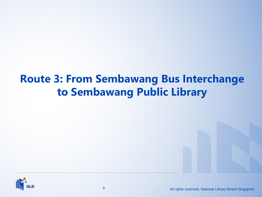## **Route 3: From Sembawang Bus Interchange to Sembawang Public Library**

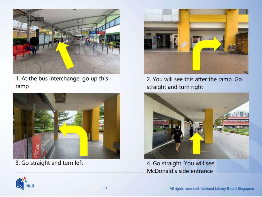

1. At the bus interchange, go up this ramp



3. Go straight and turn left



2. You will see this after the ramp. Go straight and turn right



4. Go straight. You will see McDonald's side entrance

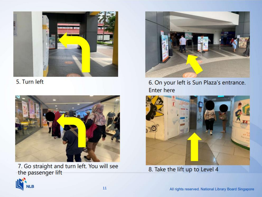

5. Turn left



7. Go straight and turn left. You will see the passenger lift



6. On your left is Sun Plaza's entrance. **Enter here** 



8. Take the lift up to Level 4